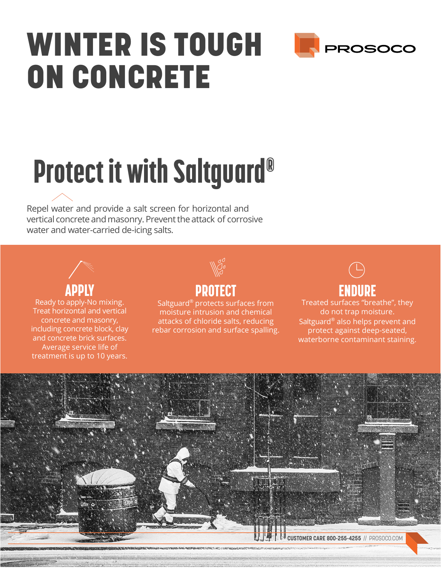## WINTER IS TOUGH ON CONCRETE



# Protect it with Saltguard®

Repel water and provide a salt screen for horizontal and vertical concrete and masonry. Prevent the attack of corrosive water and water-carried de-icing salts.



Ready to apply-No mixing. Treat horizontal and vertical concrete and masonry, including concrete block, clay and concrete brick surfaces. Average service life of treatment is up to 10 years.



### APPLY RESERVE THE PROTECT RESERVE THE RESERVE THAT A RESERVE THE RESERVE THAT A RESERVE THE RESERVE THAT A RES

Saltguard® protects surfaces from moisture intrusion and chemical attacks of chloride salts, reducing rebar corrosion and surface spalling.



Treated surfaces "breathe", they do not trap moisture. Saltguard® also helps prevent and protect against deep-seated, waterborne contaminant staining.